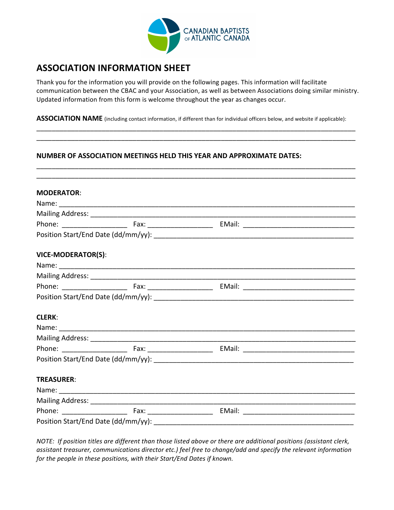

# **ASSOCIATION INFORMATION SHEET**

Thank you for the information you will provide on the following pages. This information will facilitate communication between the CBAC and your Association, as well as between Associations doing similar ministry. Updated information from this form is welcome throughout the year as changes occur.

\_\_\_\_\_\_\_\_\_\_\_\_\_\_\_\_\_\_\_\_\_\_\_\_\_\_\_\_\_\_\_\_\_\_\_\_\_\_\_\_\_\_\_\_\_\_\_\_\_\_\_\_\_\_\_\_\_\_\_\_\_\_\_\_\_\_\_\_\_\_\_\_\_\_\_\_\_\_\_\_\_\_\_ \_\_\_\_\_\_\_\_\_\_\_\_\_\_\_\_\_\_\_\_\_\_\_\_\_\_\_\_\_\_\_\_\_\_\_\_\_\_\_\_\_\_\_\_\_\_\_\_\_\_\_\_\_\_\_\_\_\_\_\_\_\_\_\_\_\_\_\_\_\_\_\_\_\_\_\_\_\_\_\_\_\_\_ 

\_\_\_\_\_\_\_\_\_\_\_\_\_\_\_\_\_\_\_\_\_\_\_\_\_\_\_\_\_\_\_\_\_\_\_\_\_\_\_\_\_\_\_\_\_\_\_\_\_\_\_\_\_\_\_\_\_\_\_\_\_\_\_\_\_\_\_\_\_\_\_\_\_\_\_\_\_\_\_\_\_\_\_ 

ASSOCIATION NAME (including contact information, if different than for individual officers below, and website if applicable):

## **NUMBER OF ASSOCIATION MEETINGS HELD THIS YEAR AND APPROXIMATE DATES:**

NOTE: If position titles are different than those listed above or there are additional positions (assistant clerk, assistant treasurer, communications director etc.) feel free to change/add and specify the relevant information *for the people in these positions, with their Start/End Dates if known.*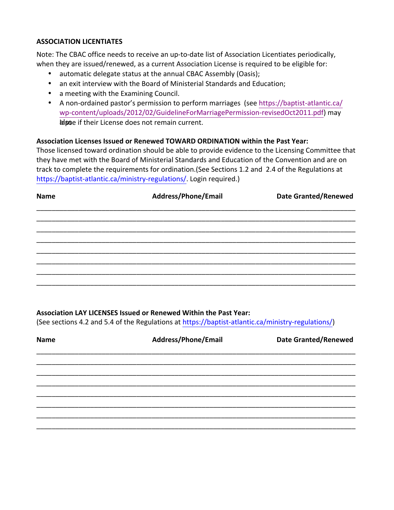#### **ASSOCIATION LICENTIATES**

Note: The CBAC office needs to receive an up-to-date list of Association Licentiates periodically, when they are issued/renewed, as a current Association License is required to be eligible for:

- automatic delegate status at the annual CBAC Assembly (Oasis);
- an exit interview with the Board of Ministerial Standards and Education;
- a meeting with the Examining Council.
- A non-ordained pastor's permission to perform marriages (see https://baptist-atlantic.ca/ wp-content/uploads/2012/02/GuidelineForMarriagePermission-revisedOct2011.pdf) may lalpse if their License does not remain current.

## Association Licenses Issued or Renewed TOWARD ORDINATION within the Past Year:

Those licensed toward ordination should be able to provide evidence to the Licensing Committee that they have met with the Board of Ministerial Standards and Education of the Convention and are on track to complete the requirements for ordination.(See Sections 1.2 and 2.4 of the Regulations at https[://baptist-atlantic.ca/ministry-regulations/](http://baptist-atlantic.ca/ministry-regulations/). Login required.)

| <b>Name</b> | Address/Phone/Email | <b>Date Granted/Renewed</b> |  |
|-------------|---------------------|-----------------------------|--|
|             |                     |                             |  |
|             |                     |                             |  |
|             |                     |                             |  |
|             |                     |                             |  |
|             |                     |                             |  |
|             |                     |                             |  |
|             |                     |                             |  |

## **Association LAY LICENSES Issued or Renewed Within the Past Year:**

(See sections 4.2 and 5.4 of the Regulations at https[://baptist-atlantic.ca/ministry-regulations/\)](http://baptist-atlantic.ca/ministry-regulations/)

| <b>Name</b> | Address/Phone/Email | <b>Date Granted/Renewed</b> |
|-------------|---------------------|-----------------------------|
|             |                     |                             |
|             |                     |                             |
|             |                     |                             |
|             |                     |                             |
|             |                     |                             |
|             |                     |                             |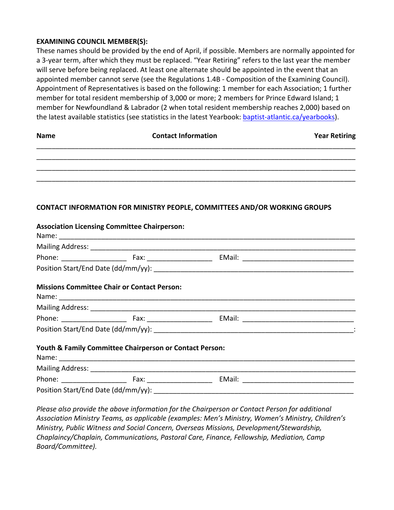#### **EXAMINING COUNCIL MEMBER(S):**

These names should be provided by the end of April, if possible. Members are normally appointed for a 3-year term, after which they must be replaced. "Year Retiring" refers to the last year the member will serve before being replaced. At least one alternate should be appointed in the event that an appointed member cannot serve (see the Regulations 1.4B - Composition of the Examining Council). Appointment of Representatives is based on the following: 1 member for each Association; 1 further member for total resident membership of 3,000 or more; 2 members for Prince Edward Island; 1 member for Newfoundland & Labrador (2 when total resident membership reaches 2,000) based on the latest available statistics (see statistics in the latest Yearbook: [baptist-atlantic.ca/yearbooks\)](http://baptist-atlantic.ca/yearbooks).

| <b>Name</b> | <b>Contact Information</b> | <b>Year Retiring</b> |
|-------------|----------------------------|----------------------|
|             |                            |                      |
|             |                            |                      |
|             |                            |                      |

## **CONTACT INFORMATION FOR MINISTRY PEOPLE, COMMITTEES AND/OR WORKING GROUPS**

| <b>Association Licensing Committee Chairperson:</b>     |  |
|---------------------------------------------------------|--|
|                                                         |  |
|                                                         |  |
|                                                         |  |
|                                                         |  |
| <b>Missions Committee Chair or Contact Person:</b>      |  |
|                                                         |  |
|                                                         |  |
|                                                         |  |
| Youth & Family Committee Chairperson or Contact Person: |  |
|                                                         |  |
|                                                         |  |
|                                                         |  |

*Please also provide the above information for the Chairperson or Contact Person for additional* Association Ministry Teams, as applicable (examples: Men's Ministry, Women's Ministry, Children's *Ministry, Public Witness and Social Concern, Overseas Missions, Development/Stewardship, Chaplaincy/Chaplain, Communications, Pastoral Care, Finance, Fellowship, Mediation, Camp Board/Committee).*